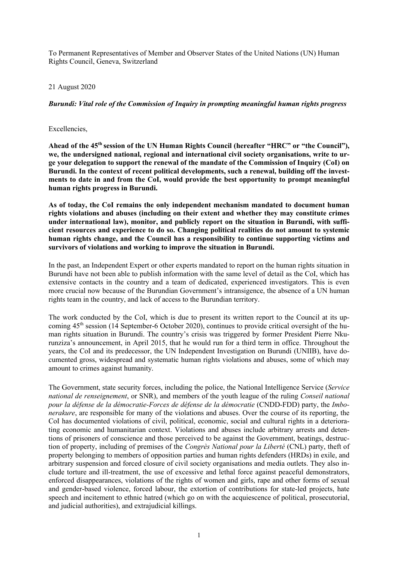To Permanent Representatives of Member and Observer States of the United Nations (UN) Human Rights Council, Geneva, Switzerland

## 21 August 2020

## *Burundi: Vital role of the Commission of Inquiry in prompting meaningful human rights progress*

## Excellencies,

Ahead of the 45<sup>th</sup> session of the UN Human Rights Council (hereafter "HRC" or "the Council"), **we, the undersigned national, regional and international civil society organisations, write to urge your delegation to support the renewal of the mandate of the Commission of Inquiry (CoI) on Burundi. In the context of recent political developments, such a renewal, building off the investments to date in and from the CoI, would provide the best opportunity to prompt meaningful human rights progress in Burundi.** 

**As of today, the CoI remains the only independent mechanism mandated to document human rights violations and abuses (including on their extent and whether they may constitute crimes under international law), monitor, and publicly report on the situation in Burundi, with sufficient resources and experience to do so. Changing political realities do not amount to systemic human rights change, and the Council has a responsibility to continue supporting victims and survivors of violations and working to improve the situation in Burundi.** 

In the past, an Independent Expert or other experts mandated to report on the human rights situation in Burundi have not been able to publish information with the same level of detail as the CoI, which has extensive contacts in the country and a team of dedicated, experienced investigators. This is even more crucial now because of the Burundian Government's intransigence, the absence of a UN human rights team in the country, and lack of access to the Burundian territory.

The work conducted by the CoI, which is due to present its written report to the Council at its upcoming  $45<sup>th</sup>$  session (14 September-6 October 2020), continues to provide critical oversight of the human rights situation in Burundi. The country's crisis was triggered by former President Pierre Nkurunziza's announcement, in April 2015, that he would run for a third term in office. Throughout the years, the CoI and its predecessor, the UN Independent Investigation on Burundi (UNIIB), have documented gross, widespread and systematic human rights violations and abuses, some of which may amount to crimes against humanity.

The Government, state security forces, including the police, the National Intelligence Service (*Service national de renseignement*, or SNR), and members of the youth league of the ruling *Conseil national pour la défense de la démocratie-Forces de défense de la démocratie* (CNDD-FDD) party, the *Imbonerakure*, are responsible for many of the violations and abuses. Over the course of its reporting, the CoI has documented violations of civil, political, economic, social and cultural rights in a deteriorating economic and humanitarian context. Violations and abuses include arbitrary arrests and detentions of prisoners of conscience and those perceived to be against the Government, beatings, destruction of property, including of premises of the *Congrès National pour la Liberté* (CNL) party, theft of property belonging to members of opposition parties and human rights defenders (HRDs) in exile, and arbitrary suspension and forced closure of civil society organisations and media outlets. They also include torture and ill-treatment, the use of excessive and lethal force against peaceful demonstrators, enforced disappearances, violations of the rights of women and girls, rape and other forms of sexual and gender-based violence, forced labour, the extortion of contributions for state-led projects, hate speech and incitement to ethnic hatred (which go on with the acquiescence of political, prosecutorial, and judicial authorities), and extrajudicial killings.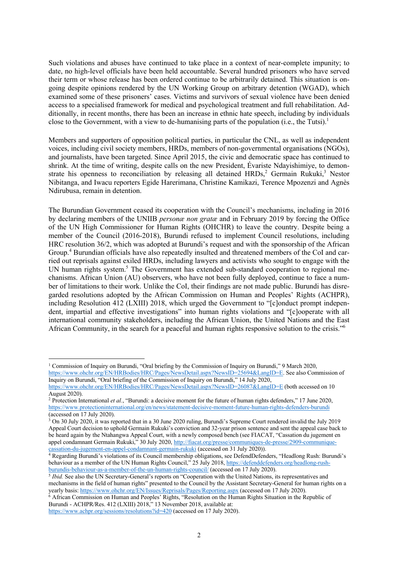Such violations and abuses have continued to take place in a context of near-complete impunity; to date, no high-level officials have been held accountable. Several hundred prisoners who have served their term or whose release has been ordered continue to be arbitrarily detained. This situation is ongoing despite opinions rendered by the UN Working Group on arbitrary detention (WGAD), which examined some of these prisoners' cases. Victims and survivors of sexual violence have been denied access to a specialised framework for medical and psychological treatment and full rehabilitation. Additionally, in recent months, there has been an increase in ethnic hate speech, including by individuals close to the Government, with a view to de-humanising parts of the population (i.e., the Tutsi).<sup>1</sup>

Members and supporters of opposition political parties, in particular the CNL, as well as independent voices, including civil society members, HRDs, members of non-governmental organisations (NGOs), and journalists, have been targeted. Since April 2015, the civic and democratic space has continued to shrink. At the time of writing, despite calls on the new President, Évariste Ndayishimiye, to demonstrate his openness to reconciliation by releasing all detained  $HRDs<sub>z</sub><sup>2</sup>$  Germain Rukuki,<sup>3</sup> Nestor Nibitanga, and Iwacu reporters Egide Harerimana, Christine Kamikazi, Terence Mpozenzi and Agnès Ndirubusa, remain in detention.

The Burundian Government ceased its cooperation with the Council's mechanisms, including in 2016 by declaring members of the UNIIB *personæ non gratæ* and in February 2019 by forcing the Office of the UN High Commissioner for Human Rights (OHCHR) to leave the country. Despite being a member of the Council (2016-2018), Burundi refused to implement Council resolutions, including HRC resolution 36/2, which was adopted at Burundi's request and with the sponsorship of the African Group.<sup>4</sup> Burundian officials have also repeatedly insulted and threatened members of the CoI and carried out reprisals against exiled HRDs, including lawyers and activists who sought to engage with the UN human rights system.<sup>5</sup> The Government has extended sub-standard cooperation to regional mechanisms. African Union (AU) observers, who have not been fully deployed, continue to face a number of limitations to their work. Unlike the CoI, their findings are not made public. Burundi has disregarded resolutions adopted by the African Commission on Human and Peoples' Rights (ACHPR), including Resolution 412 (LXIII) 2018, which urged the Government to "[c]onduct prompt independent, impartial and effective investigations" into human rights violations and "[c]ooperate with all international community stakeholders, including the African Union, the United Nations and the East African Community, in the search for a peaceful and human rights responsive solution to the crisis."6

<sup>1</sup> Commission of Inquiry on Burundi, "Oral briefing by the Commission of Inquiry on Burundi," 9 March 2020,

https://www.ohchr.org/EN/HRBodies/HRC/Pages/NewsDetail.aspx?NewsID=25694&LangID=E. See also Commission of Inquiry on Burundi, "Oral briefing of the Commission of Inquiry on Burundi," 14 July 2020,

https://www.ohchr.org/EN/HRBodies/HRC/Pages/NewsDetail.aspx?NewsID=26087&LangID=E (both accessed on 10 August 2020).

<sup>2</sup> Protection International *et al.*, "Burundi: a decisive moment for the future of human rights defenders," 17 June 2020, https://www.protectioninternational.org/en/news/statement-decisive-moment-future-human-rights-defenders-burundi (accessed on 17 July 2020).<br><sup>3</sup> On 30 July 2020, it was reported that in a 30 June 2020 ruling, Burundi's Supreme Court rendered invalid the July 2019

Appeal Court decision to uphold Germain Rukuki's conviction and 32-year prison sentence and sent the appeal case back to be heard again by the Ntahangwa Appeal Court, with a newly composed bench (see FIACAT, "Cassation du jugement en appel condamnant Germain Rukuki," 30 July 2020, http://fiacat.org/presse/communiques-de-presse/2909-communiquecassation-du-jugement-en-appel-condamnant-germain-rukuki (accessed on 31 July 2020)).

<sup>4</sup> Regarding Burundi's violations of its Council membership obligations, see DefendDefenders, "Headlong Rush: Burundi's behaviour as a member of the UN Human Rights Council," 25 July 2018, https://defenddefenders.org/headlong-rushburundis-behaviour-as-a-member-of-the-un-human-rights-council/ (accessed on 17 July 2020). 5 *Ibid.* See also the UN Secretary-General's reports on "Cooperation with the United Nations, its representatives and

mechanisms in the field of human rights" presented to the Council by the Assistant Secretary-General for human rights on a yearly basis: https://www.ohchr.org/EN/Issues/Reprisals/Pages/Reporting.aspx (accessed on 17 July 2020).

Burundi - ACHPR/Res. 412 (LXIII) 2018," 13 November 2018, available at: https://www.achpr.org/sessions/resolutions?id=420 (accessed on 17 July 2020).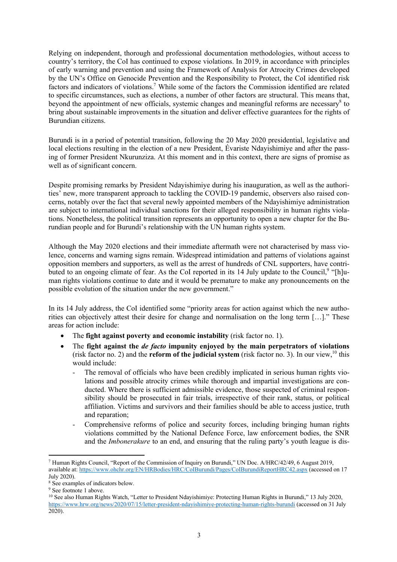Relying on independent, thorough and professional documentation methodologies, without access to country's territory, the CoI has continued to expose violations. In 2019, in accordance with principles of early warning and prevention and using the Framework of Analysis for Atrocity Crimes developed by the UN's Office on Genocide Prevention and the Responsibility to Protect, the CoI identified risk factors and indicators of violations.<sup>7</sup> While some of the factors the Commission identified are related to specific circumstances, such as elections, a number of other factors are structural. This means that, beyond the appointment of new officials, systemic changes and meaningful reforms are necessary<sup>8</sup> to bring about sustainable improvements in the situation and deliver effective guarantees for the rights of Burundian citizens.

Burundi is in a period of potential transition, following the 20 May 2020 presidential, legislative and local elections resulting in the election of a new President, Évariste Ndayishimiye and after the passing of former President Nkurunziza. At this moment and in this context, there are signs of promise as well as of significant concern.

Despite promising remarks by President Ndayishimiye during his inauguration, as well as the authorities' new, more transparent approach to tackling the COVID-19 pandemic, observers also raised concerns, notably over the fact that several newly appointed members of the Ndayishimiye administration are subject to international individual sanctions for their alleged responsibility in human rights violations. Nonetheless, the political transition represents an opportunity to open a new chapter for the Burundian people and for Burundi's relationship with the UN human rights system.

Although the May 2020 elections and their immediate aftermath were not characterised by mass violence, concerns and warning signs remain. Widespread intimidation and patterns of violations against opposition members and supporters, as well as the arrest of hundreds of CNL supporters, have contributed to an ongoing climate of fear. As the CoI reported in its 14 July update to the Council,<sup>9</sup> "[h]uman rights violations continue to date and it would be premature to make any pronouncements on the possible evolution of the situation under the new government."

In its 14 July address, the CoI identified some "priority areas for action against which the new authorities can objectively attest their desire for change and normalisation on the long term […]." These areas for action include:

- The **fight against poverty and economic instability** (risk factor no. 1).
- The **fight against the** *de facto* **impunity enjoyed by the main perpetrators of violations** (risk factor no. 2) and the **reform of the judicial system** (risk factor no. 3). In our view,<sup>10</sup> this would include:
	- The removal of officials who have been credibly implicated in serious human rights violations and possible atrocity crimes while thorough and impartial investigations are conducted. Where there is sufficient admissible evidence, those suspected of criminal responsibility should be prosecuted in fair trials, irrespective of their rank, status, or political affiliation. Victims and survivors and their families should be able to access justice, truth and reparation;
	- Comprehensive reforms of police and security forces, including bringing human rights violations committed by the National Defence Force, law enforcement bodies, the SNR and the *Imbonerakure* to an end, and ensuring that the ruling party's youth league is dis-

<sup>7</sup> Human Rights Council, "Report of the Commission of Inquiry on Burundi," UN Doc. A/HRC/42/49, 6 August 2019, available at: https://www.ohchr.org/EN/HRBodies/HRC/CoIBurundi/Pages/CoIBurundiReportHRC42.aspx (accessed on 17 July 2020).

<sup>&</sup>lt;sup>8</sup> See examples of indicators below.<br><sup>9</sup> See footnote 1 above.<br><sup>10</sup> See also Human Rights Watch, "Letter to President Ndayishimiye: Protecting Human Rights in Burundi," 13 July 2020, https://www.hrw.org/news/2020/07/15/letter-president-ndayishimiye-protecting-human-rights-burundi (accessed on 31 July 2020).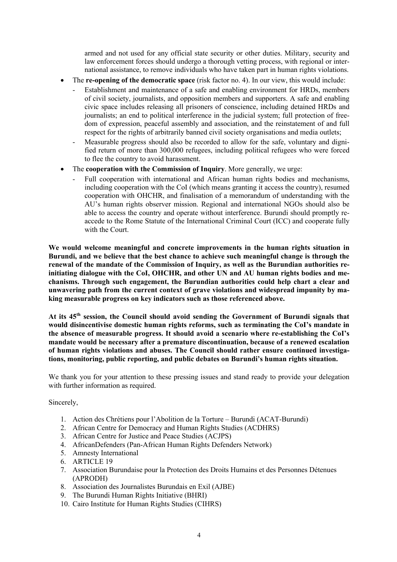armed and not used for any official state security or other duties. Military, security and law enforcement forces should undergo a thorough vetting process, with regional or international assistance, to remove individuals who have taken part in human rights violations.

- The **re-opening of the democratic space** (risk factor no. 4). In our view, this would include:
	- Establishment and maintenance of a safe and enabling environment for HRDs, members of civil society, journalists, and opposition members and supporters. A safe and enabling civic space includes releasing all prisoners of conscience, including detained HRDs and journalists; an end to political interference in the judicial system; full protection of freedom of expression, peaceful assembly and association, and the reinstatement of and full respect for the rights of arbitrarily banned civil society organisations and media outlets;
	- Measurable progress should also be recorded to allow for the safe, voluntary and dignified return of more than 300,000 refugees, including political refugees who were forced to flee the country to avoid harassment.
- The **cooperation with the Commission of Inquiry**. More generally, we urge:
	- Full cooperation with international and African human rights bodies and mechanisms, including cooperation with the CoI (which means granting it access the country), resumed cooperation with OHCHR, and finalisation of a memorandum of understanding with the AU's human rights observer mission. Regional and international NGOs should also be able to access the country and operate without interference. Burundi should promptly reaccede to the Rome Statute of the International Criminal Court (ICC) and cooperate fully with the Court.

**We would welcome meaningful and concrete improvements in the human rights situation in Burundi, and we believe that the best chance to achieve such meaningful change is through the renewal of the mandate of the Commission of Inquiry, as well as the Burundian authorities reinitiating dialogue with the CoI, OHCHR, and other UN and AU human rights bodies and mechanisms. Through such engagement, the Burundian authorities could help chart a clear and unwavering path from the current context of grave violations and widespread impunity by making measurable progress on key indicators such as those referenced above.** 

**At its 45th session, the Council should avoid sending the Government of Burundi signals that would disincentivise domestic human rights reforms, such as terminating the CoI's mandate in the absence of measurable progress. It should avoid a scenario where re-establishing the CoI's mandate would be necessary after a premature discontinuation, because of a renewed escalation of human rights violations and abuses. The Council should rather ensure continued investigations, monitoring, public reporting, and public debates on Burundi's human rights situation.** 

We thank you for your attention to these pressing issues and stand ready to provide your delegation with further information as required.

Sincerely,

- 1. Action des Chrétiens pour l'Abolition de la Torture Burundi (ACAT-Burundi)
- 2. African Centre for Democracy and Human Rights Studies (ACDHRS)
- 3. African Centre for Justice and Peace Studies (ACJPS)
- 4. AfricanDefenders (Pan-African Human Rights Defenders Network)
- 5. Amnesty International
- 6. ARTICLE 19
- 7. Association Burundaise pour la Protection des Droits Humains et des Personnes Détenues (APRODH)
- 8. Association des Journalistes Burundais en Exil (AJBE)
- 9. The Burundi Human Rights Initiative (BHRI)
- 10. Cairo Institute for Human Rights Studies (CIHRS)